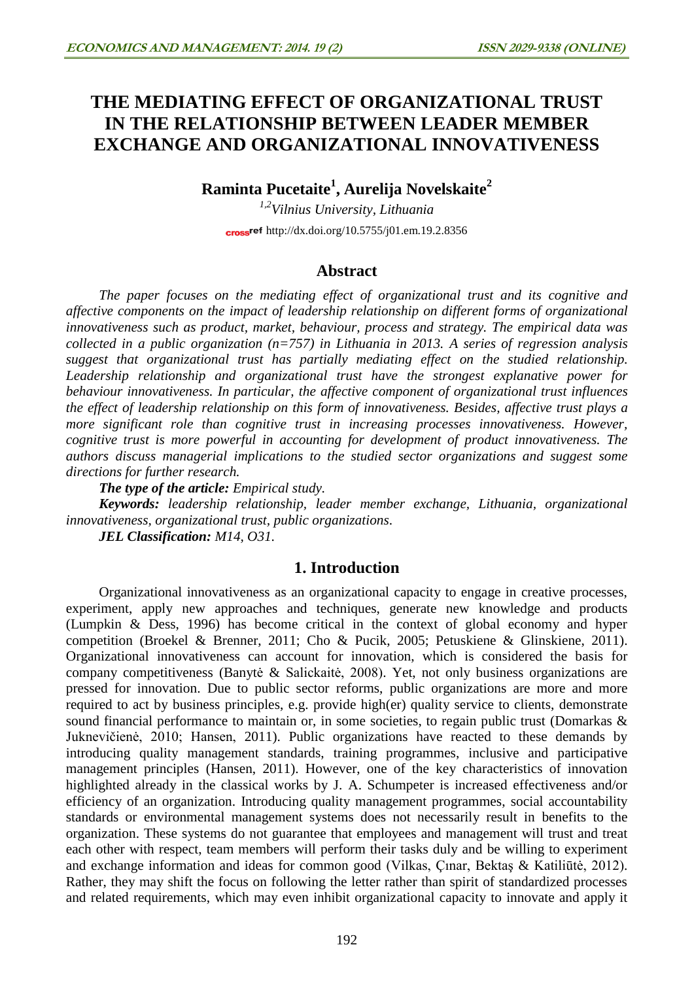# **THE MEDIATING EFFECT OF ORGANIZATIONAL TRUST IN THE RELATIONSHIP BETWEEN LEADER MEMBER EXCHANGE AND ORGANIZATIONAL INNOVATIVENESS**

## **Raminta Pucetaite<sup>1</sup> , Aurelija Novelskaite<sup>2</sup>**

*1,2Vilnius University, Lithuania* cross<sup>ref</sup> <http://dx.doi.org/10.5755/j01.em.19.2.8356>

## **Abstract**

*The paper focuses on the mediating effect of organizational trust and its cognitive and affective components on the impact of leadership relationship on different forms of organizational innovativeness such as product, market, behaviour, process and strategy. The empirical data was collected in a public organization (n=757) in Lithuania in 2013. A series of regression analysis suggest that organizational trust has partially mediating effect on the studied relationship. Leadership relationship and organizational trust have the strongest explanative power for behaviour innovativeness. In particular, the affective component of organizational trust influences the effect of leadership relationship on this form of innovativeness. Besides, affective trust plays a more significant role than cognitive trust in increasing processes innovativeness. However, cognitive trust is more powerful in accounting for development of product innovativeness. The authors discuss managerial implications to the studied sector organizations and suggest some directions for further research.* 

*The type of the article: Empirical study.*

*Keywords: leadership relationship, leader member exchange, Lithuania, organizational innovativeness, organizational trust, public organizations.*

*JEL Classification: M14, O31.*

### **1. Introduction**

Organizational innovativeness as an organizational capacity to engage in creative processes, experiment, apply new approaches and techniques, generate new knowledge and products (Lumpkin & Dess, 1996) has become critical in the context of global economy and hyper competition (Broekel & Brenner, 2011; Cho & Pucik, 2005; Petuskiene & Glinskiene, 2011). Organizational innovativeness can account for innovation, which is considered the basis for company competitiveness (Banytė & Salickaitė, 2008). Yet, not only business organizations are pressed for innovation. Due to public sector reforms, public organizations are more and more required to act by business principles, e.g. provide high(er) quality service to clients, demonstrate sound financial performance to maintain or, in some societies, to regain public trust (Domarkas & Juknevičienė, 2010; Hansen, 2011). Public organizations have reacted to these demands by introducing quality management standards, training programmes, inclusive and participative management principles (Hansen, 2011). However, one of the key characteristics of innovation highlighted already in the classical works by J. A. Schumpeter is increased effectiveness and/or efficiency of an organization. Introducing quality management programmes, social accountability standards or environmental management systems does not necessarily result in benefits to the organization. These systems do not guarantee that employees and management will trust and treat each other with respect, team members will perform their tasks duly and be willing to experiment and exchange information and ideas for common good (Vilkas, Çınar, Bektaş & Katiliūtė, 2012). Rather, they may shift the focus on following the letter rather than spirit of standardized processes and related requirements, which may even inhibit organizational capacity to innovate and apply it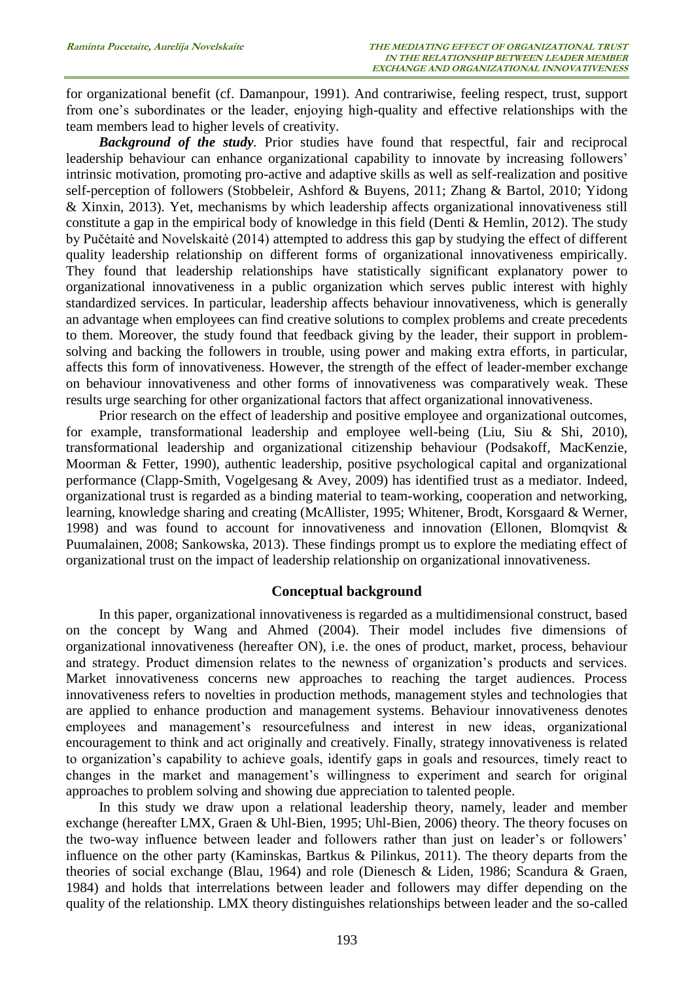for organizational benefit (cf. Damanpour, 1991). And contrariwise, feeling respect, trust, support from one's subordinates or the leader, enjoying high-quality and effective relationships with the team members lead to higher levels of creativity.

*Background of the study.* Prior studies have found that respectful, fair and reciprocal leadership behaviour can enhance organizational capability to innovate by increasing followers' intrinsic motivation, promoting pro-active and adaptive skills as well as self-realization and positive self-perception of followers (Stobbeleir, Ashford & Buyens, 2011; Zhang & Bartol, 2010; Yidong & Xinxin, 2013). Yet, mechanisms by which leadership affects organizational innovativeness still constitute a gap in the empirical body of knowledge in this field (Denti & Hemlin, 2012). The study by Pučėtaitė and Novelskaitė (2014) attempted to address this gap by studying the effect of different quality leadership relationship on different forms of organizational innovativeness empirically. They found that leadership relationships have statistically significant explanatory power to organizational innovativeness in a public organization which serves public interest with highly standardized services. In particular, leadership affects behaviour innovativeness, which is generally an advantage when employees can find creative solutions to complex problems and create precedents to them. Moreover, the study found that feedback giving by the leader, their support in problemsolving and backing the followers in trouble, using power and making extra efforts, in particular, affects this form of innovativeness. However, the strength of the effect of leader-member exchange on behaviour innovativeness and other forms of innovativeness was comparatively weak. These results urge searching for other organizational factors that affect organizational innovativeness.

Prior research on the effect of leadership and positive employee and organizational outcomes, for example, transformational leadership and employee well-being (Liu, Siu & Shi, 2010), transformational leadership and organizational citizenship behaviour (Podsakoff, MacKenzie, Moorman & Fetter, 1990), authentic leadership, positive psychological capital and organizational performance (Clapp-Smith, Vogelgesang & Avey, 2009) has identified trust as a mediator. Indeed, organizational trust is regarded as a binding material to team-working, cooperation and networking, learning, knowledge sharing and creating (McAllister, 1995; Whitener, Brodt, Korsgaard & Werner, 1998) and was found to account for innovativeness and innovation (Ellonen, Blomqvist & Puumalainen, 2008; Sankowska, 2013). These findings prompt us to explore the mediating effect of organizational trust on the impact of leadership relationship on organizational innovativeness.

#### **Conceptual background**

In this paper, organizational innovativeness is regarded as a multidimensional construct, based on the concept by Wang and Ahmed (2004). Their model includes five dimensions of organizational innovativeness (hereafter ON), i.e. the ones of product, market, process, behaviour and strategy. Product dimension relates to the newness of organization's products and services. Market innovativeness concerns new approaches to reaching the target audiences. Process innovativeness refers to novelties in production methods, management styles and technologies that are applied to enhance production and management systems. Behaviour innovativeness denotes employees and management's resourcefulness and interest in new ideas, organizational encouragement to think and act originally and creatively. Finally, strategy innovativeness is related to organization's capability to achieve goals, identify gaps in goals and resources, timely react to changes in the market and management's willingness to experiment and search for original approaches to problem solving and showing due appreciation to talented people.

In this study we draw upon a relational leadership theory, namely, leader and member exchange (hereafter LMX, Graen & Uhl-Bien, 1995; Uhl-Bien, 2006) theory. The theory focuses on the two-way influence between leader and followers rather than just on leader's or followers' influence on the other party (Kaminskas, Bartkus & Pilinkus, 2011). The theory departs from the theories of social exchange (Blau, 1964) and role (Dienesch & Liden, 1986; Scandura & Graen, 1984) and holds that interrelations between leader and followers may differ depending on the quality of the relationship. LMX theory distinguishes relationships between leader and the so-called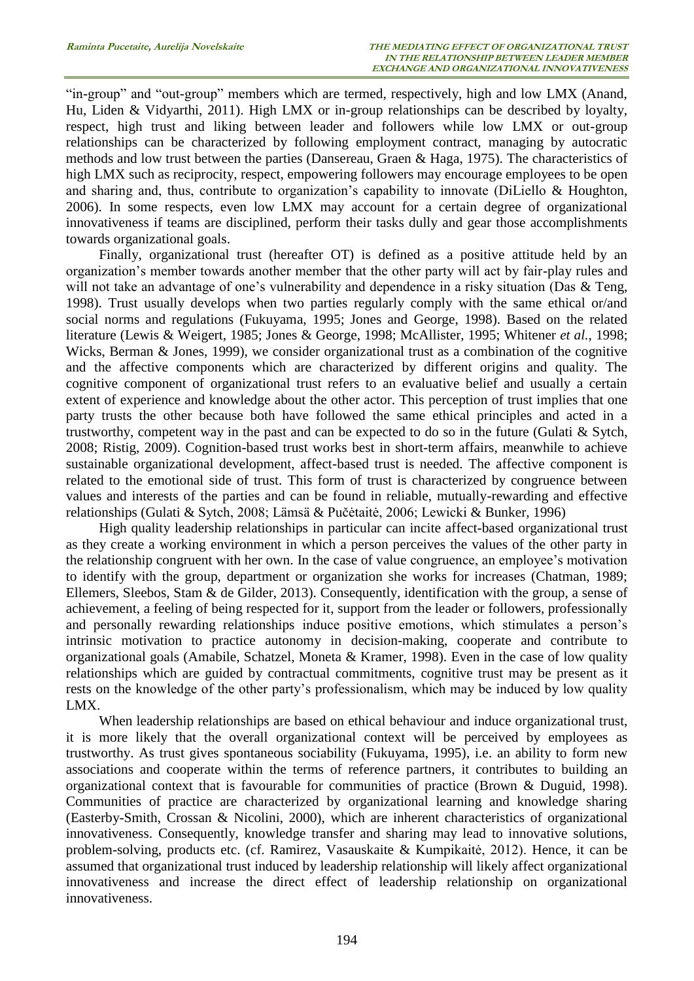"in-group" and "out-group" members which are termed, respectively, high and low LMX (Anand, Hu, Liden & Vidyarthi, 2011). High LMX or in-group relationships can be described by loyalty, respect, high trust and liking between leader and followers while low LMX or out-group relationships can be characterized by following employment contract, managing by autocratic methods and low trust between the parties (Dansereau, Graen & Haga, 1975). The characteristics of high LMX such as reciprocity, respect, empowering followers may encourage employees to be open and sharing and, thus, contribute to organization's capability to innovate (DiLiello & Houghton, 2006). In some respects, even low LMX may account for a certain degree of organizational innovativeness if teams are disciplined, perform their tasks dully and gear those accomplishments towards organizational goals.

Finally, organizational trust (hereafter OT) is defined as a positive attitude held by an organization's member towards another member that the other party will act by fair-play rules and will not take an advantage of one's vulnerability and dependence in a risky situation (Das & Teng, 1998). Trust usually develops when two parties regularly comply with the same ethical or/and social norms and regulations (Fukuyama, 1995; Jones and George, 1998). Based on the related literature (Lewis & Weigert, 1985; Jones & George, 1998; McAllister, 1995; Whitener *et al.*, 1998; Wicks, Berman & Jones, 1999), we consider organizational trust as a combination of the cognitive and the affective components which are characterized by different origins and quality. The cognitive component of organizational trust refers to an evaluative belief and usually a certain extent of experience and knowledge about the other actor. This perception of trust implies that one party trusts the other because both have followed the same ethical principles and acted in a trustworthy, competent way in the past and can be expected to do so in the future (Gulati & Sytch, 2008; Ristig, 2009). Cognition-based trust works best in short-term affairs, meanwhile to achieve sustainable organizational development, affect-based trust is needed. The affective component is related to the emotional side of trust. This form of trust is characterized by congruence between values and interests of the parties and can be found in reliable, mutually-rewarding and effective relationships (Gulati & Sytch, 2008; Lämsä & Pučėtaitė, 2006; Lewicki & Bunker, 1996)

High quality leadership relationships in particular can incite affect-based organizational trust as they create a working environment in which a person perceives the values of the other party in the relationship congruent with her own. In the case of value congruence, an employee's motivation to identify with the group, department or organization she works for increases (Chatman, 1989; Ellemers, Sleebos, Stam & de Gilder, 2013). Consequently, identification with the group, a sense of achievement, a feeling of being respected for it, support from the leader or followers, professionally and personally rewarding relationships induce positive emotions, which stimulates a person's intrinsic motivation to practice autonomy in decision-making, cooperate and contribute to organizational goals (Amabile, Schatzel, Moneta & Kramer, 1998). Even in the case of low quality relationships which are guided by contractual commitments, cognitive trust may be present as it rests on the knowledge of the other party's professionalism, which may be induced by low quality LMX.

When leadership relationships are based on ethical behaviour and induce organizational trust, it is more likely that the overall organizational context will be perceived by employees as trustworthy. As trust gives spontaneous sociability (Fukuyama, 1995), i.e. an ability to form new associations and cooperate within the terms of reference partners, it contributes to building an organizational context that is favourable for communities of practice (Brown & Duguid, 1998). Communities of practice are characterized by organizational learning and knowledge sharing (Easterby-Smith, Crossan & Nicolini, 2000), which are inherent characteristics of organizational innovativeness. Consequently, knowledge transfer and sharing may lead to innovative solutions, problem-solving, products etc. (cf. Ramirez, Vasauskaite & Kumpikaitė, 2012). Hence, it can be assumed that organizational trust induced by leadership relationship will likely affect organizational innovativeness and increase the direct effect of leadership relationship on organizational innovativeness.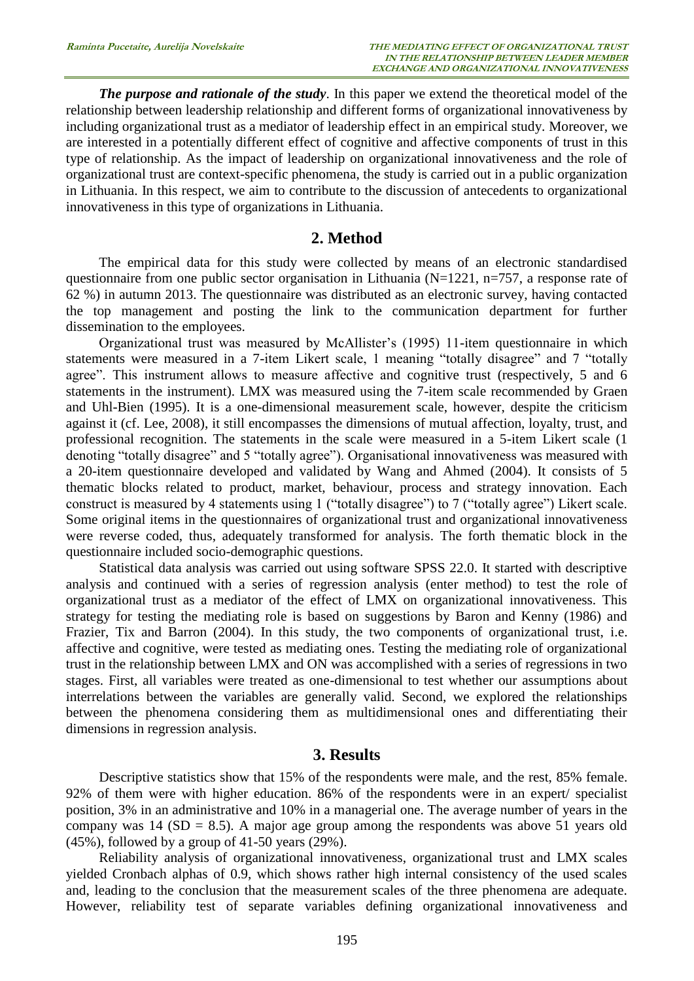*The purpose and rationale of the study*. In this paper we extend the theoretical model of the relationship between leadership relationship and different forms of organizational innovativeness by including organizational trust as a mediator of leadership effect in an empirical study. Moreover, we are interested in a potentially different effect of cognitive and affective components of trust in this type of relationship. As the impact of leadership on organizational innovativeness and the role of organizational trust are context-specific phenomena, the study is carried out in a public organization in Lithuania. In this respect, we aim to contribute to the discussion of antecedents to organizational innovativeness in this type of organizations in Lithuania.

#### **2. Method**

The empirical data for this study were collected by means of an electronic standardised questionnaire from one public sector organisation in Lithuania (N=1221, n=757, a response rate of 62 %) in autumn 2013. The questionnaire was distributed as an electronic survey, having contacted the top management and posting the link to the communication department for further dissemination to the employees.

Organizational trust was measured by McAllister's (1995) 11-item questionnaire in which statements were measured in a 7-item Likert scale, 1 meaning "totally disagree" and 7 "totally agree". This instrument allows to measure affective and cognitive trust (respectively, 5 and 6 statements in the instrument). LMX was measured using the 7-item scale recommended by Graen and Uhl-Bien (1995). It is a one-dimensional measurement scale, however, despite the criticism against it (cf. Lee, 2008), it still encompasses the dimensions of mutual affection, loyalty, trust, and professional recognition. The statements in the scale were measured in a 5-item Likert scale (1 denoting "totally disagree" and 5 "totally agree"). Organisational innovativeness was measured with a 20-item questionnaire developed and validated by Wang and Ahmed (2004). It consists of 5 thematic blocks related to product, market, behaviour, process and strategy innovation. Each construct is measured by 4 statements using 1 ("totally disagree") to 7 ("totally agree") Likert scale. Some original items in the questionnaires of organizational trust and organizational innovativeness were reverse coded, thus, adequately transformed for analysis. The forth thematic block in the questionnaire included socio-demographic questions.

Statistical data analysis was carried out using software SPSS 22.0. It started with descriptive analysis and continued with a series of regression analysis (enter method) to test the role of organizational trust as a mediator of the effect of LMX on organizational innovativeness. This strategy for testing the mediating role is based on suggestions by Baron and Kenny (1986) and Frazier, Tix and Barron (2004). In this study, the two components of organizational trust, i.e. affective and cognitive, were tested as mediating ones. Testing the mediating role of organizational trust in the relationship between LMX and ON was accomplished with a series of regressions in two stages. First, all variables were treated as one-dimensional to test whether our assumptions about interrelations between the variables are generally valid. Second, we explored the relationships between the phenomena considering them as multidimensional ones and differentiating their dimensions in regression analysis.

#### **3. Results**

Descriptive statistics show that 15% of the respondents were male, and the rest, 85% female. 92% of them were with higher education. 86% of the respondents were in an expert/ specialist position, 3% in an administrative and 10% in a managerial one. The average number of years in the company was 14 ( $SD = 8.5$ ). A major age group among the respondents was above 51 years old (45%), followed by a group of 41-50 years (29%).

Reliability analysis of organizational innovativeness, organizational trust and LMX scales yielded Cronbach alphas of 0.9, which shows rather high internal consistency of the used scales and, leading to the conclusion that the measurement scales of the three phenomena are adequate. However, reliability test of separate variables defining organizational innovativeness and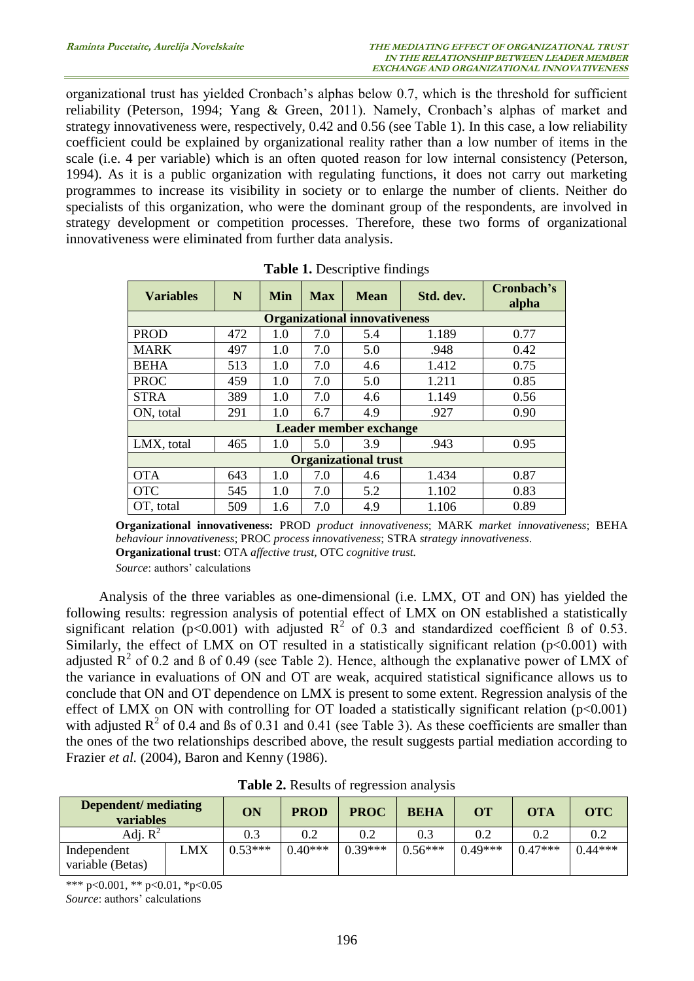organizational trust has yielded Cronbach's alphas below 0.7, which is the threshold for sufficient reliability (Peterson, 1994; Yang & Green, 2011). Namely, Cronbach's alphas of market and strategy innovativeness were, respectively, 0.42 and 0.56 (see Table 1). In this case, a low reliability coefficient could be explained by organizational reality rather than a low number of items in the scale (i.e. 4 per variable) which is an often quoted reason for low internal consistency (Peterson, 1994). As it is a public organization with regulating functions, it does not carry out marketing programmes to increase its visibility in society or to enlarge the number of clients. Neither do specialists of this organization, who were the dominant group of the respondents, are involved in strategy development or competition processes. Therefore, these two forms of organizational innovativeness were eliminated from further data analysis.

| <b>Variables</b>                     | N   | Min | <b>Max</b> | <b>Mean</b> | Std. dev. | Cronbach's<br>alpha |  |  |
|--------------------------------------|-----|-----|------------|-------------|-----------|---------------------|--|--|
| <b>Organizational innovativeness</b> |     |     |            |             |           |                     |  |  |
| <b>PROD</b>                          | 472 | 1.0 | 7.0        | 5.4         | 1.189     | 0.77                |  |  |
| <b>MARK</b>                          | 497 | 1.0 | 7.0        | 5.0         | .948      | 0.42                |  |  |
| <b>BEHA</b>                          | 513 | 1.0 | 7.0        | 4.6         | 1.412     | 0.75                |  |  |
| <b>PROC</b>                          | 459 | 1.0 | 7.0        | 5.0         | 1.211     | 0.85                |  |  |
| <b>STRA</b>                          | 389 | 1.0 | 7.0        | 4.6         | 1.149     | 0.56                |  |  |
| ON, total                            | 291 | 1.0 | 6.7        | 4.9         | .927      | 0.90                |  |  |
| Leader member exchange               |     |     |            |             |           |                     |  |  |
| LMX, total                           | 465 | 1.0 | 5.0        | 3.9         | .943      | 0.95                |  |  |
| <b>Organizational trust</b>          |     |     |            |             |           |                     |  |  |
| <b>OTA</b>                           | 643 | 1.0 | 7.0        | 4.6         | 1.434     | 0.87                |  |  |
| <b>OTC</b>                           | 545 | 1.0 | 7.0        | 5.2         | 1.102     | 0.83                |  |  |
| OT, total                            | 509 | 1.6 | 7.0        | 4.9         | 1.106     | 0.89                |  |  |

**Table 1.** Descriptive findings

**Organizational innovativeness:** PROD *product innovativeness*; MARK *market innovativeness*; BEHA *behaviour innovativeness*; PROC *process innovativeness*; STRA *strategy innovativeness*. **Organizational trust**: OTA *affective trust,* OTC *cognitive trust.*

*Source*: authors' calculations

Analysis of the three variables as one-dimensional (i.e. LMX, OT and ON) has yielded the following results: regression analysis of potential effect of LMX on ON established a statistically significant relation ( $p$ <0.001) with adjusted  $R^2$  of 0.3 and standardized coefficient ß of 0.53. Similarly, the effect of LMX on OT resulted in a statistically significant relation  $(p<0.001)$  with adjusted  $R^2$  of 0.2 and ß of 0.49 (see Table 2). Hence, although the explanative power of LMX of the variance in evaluations of ON and OT are weak, acquired statistical significance allows us to conclude that ON and OT dependence on LMX is present to some extent. Regression analysis of the effect of LMX on ON with controlling for OT loaded a statistically significant relation  $(p<0.001)$ with adjusted  $R^2$  of 0.4 and ßs of 0.31 and 0.41 (see Table 3). As these coefficients are smaller than the ones of the two relationships described above, the result suggests partial mediation according to Frazier *et al.* (2004), Baron and Kenny (1986).

| <b>Dependent/mediating</b><br><b>variables</b> |     | ON        | <b>PROD</b> | <b>PROC</b> | <b>BEHA</b> | <b>OT</b> | <b>OTA</b> | <b>OTC</b> |
|------------------------------------------------|-----|-----------|-------------|-------------|-------------|-----------|------------|------------|
| Adj. $R^2$                                     |     | 0.3       | 0.2         | 0.2         | 0.3         | 0.2       |            | 0.2        |
| Independent<br>variable (Betas)                | LMX | $0.53***$ | $0.40***$   | $0.39***$   | $0.56***$   | $0.49***$ | $0.47***$  | $0.44***$  |

**Table 2.** Results of regression analysis

\*\*\* p<0.001, \*\* p<0.01, \*p<0.05 *Source*: authors' calculations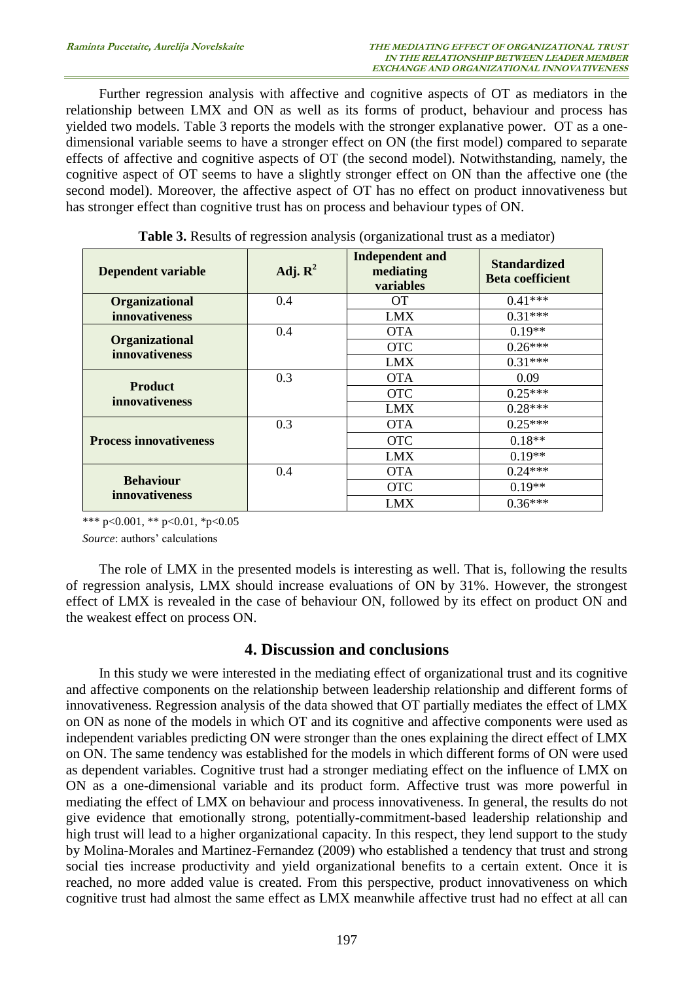Further regression analysis with affective and cognitive aspects of OT as mediators in the relationship between LMX and ON as well as its forms of product, behaviour and process has yielded two models. Table 3 reports the models with the stronger explanative power. OT as a onedimensional variable seems to have a stronger effect on ON (the first model) compared to separate effects of affective and cognitive aspects of OT (the second model). Notwithstanding, namely, the cognitive aspect of OT seems to have a slightly stronger effect on ON than the affective one (the second model). Moreover, the affective aspect of OT has no effect on product innovativeness but has stronger effect than cognitive trust has on process and behaviour types of ON.

| <b>Dependent variable</b>               | Adj. $\mathbf{R}^2$ | <b>Independent and</b><br>mediating<br>variables | <b>Standardized</b><br><b>Beta coefficient</b> |
|-----------------------------------------|---------------------|--------------------------------------------------|------------------------------------------------|
| <b>Organizational</b>                   | 0.4                 | <b>OT</b>                                        | $0.41***$                                      |
| innovativeness                          |                     | <b>LMX</b>                                       | $0.31***$                                      |
|                                         | 0.4                 | <b>OTA</b>                                       | $0.19**$                                       |
| <b>Organizational</b><br>innovativeness |                     | <b>OTC</b>                                       | $0.26***$                                      |
|                                         |                     | LMX                                              | $0.31***$                                      |
|                                         | 0.3                 | <b>OTA</b>                                       | 0.09                                           |
| <b>Product</b><br>innovativeness        |                     | <b>OTC</b>                                       | $0.25***$                                      |
|                                         |                     | <b>LMX</b>                                       | $0.28***$                                      |
|                                         | 0.3                 | <b>OTA</b>                                       | $0.25***$                                      |
| <b>Process innovativeness</b>           |                     | <b>OTC</b>                                       | $0.18**$                                       |
|                                         |                     | <b>LMX</b>                                       | $0.19**$                                       |
|                                         | 0.4                 | <b>OTA</b>                                       | $0.24***$                                      |
| <b>Behaviour</b>                        |                     | <b>OTC</b>                                       | $0.19**$                                       |
| <i>innovativeness</i>                   |                     | LMX                                              | $0.36***$                                      |

**Table 3.** Results of regression analysis (organizational trust as a mediator)

\*\*\* p<0.001, \*\* p<0.01, \*p<0.05

*Source*: authors' calculations

The role of LMX in the presented models is interesting as well. That is, following the results of regression analysis, LMX should increase evaluations of ON by 31%. However, the strongest effect of LMX is revealed in the case of behaviour ON, followed by its effect on product ON and the weakest effect on process ON.

## **4. Discussion and conclusions**

In this study we were interested in the mediating effect of organizational trust and its cognitive and affective components on the relationship between leadership relationship and different forms of innovativeness. Regression analysis of the data showed that OT partially mediates the effect of LMX on ON as none of the models in which OT and its cognitive and affective components were used as independent variables predicting ON were stronger than the ones explaining the direct effect of LMX on ON. The same tendency was established for the models in which different forms of ON were used as dependent variables. Cognitive trust had a stronger mediating effect on the influence of LMX on ON as a one-dimensional variable and its product form. Affective trust was more powerful in mediating the effect of LMX on behaviour and process innovativeness. In general, the results do not give evidence that emotionally strong, potentially-commitment-based leadership relationship and high trust will lead to a higher organizational capacity. In this respect, they lend support to the study by Molina-Morales and Martinez-Fernandez (2009) who established a tendency that trust and strong social ties increase productivity and yield organizational benefits to a certain extent. Once it is reached, no more added value is created. From this perspective, product innovativeness on which cognitive trust had almost the same effect as LMX meanwhile affective trust had no effect at all can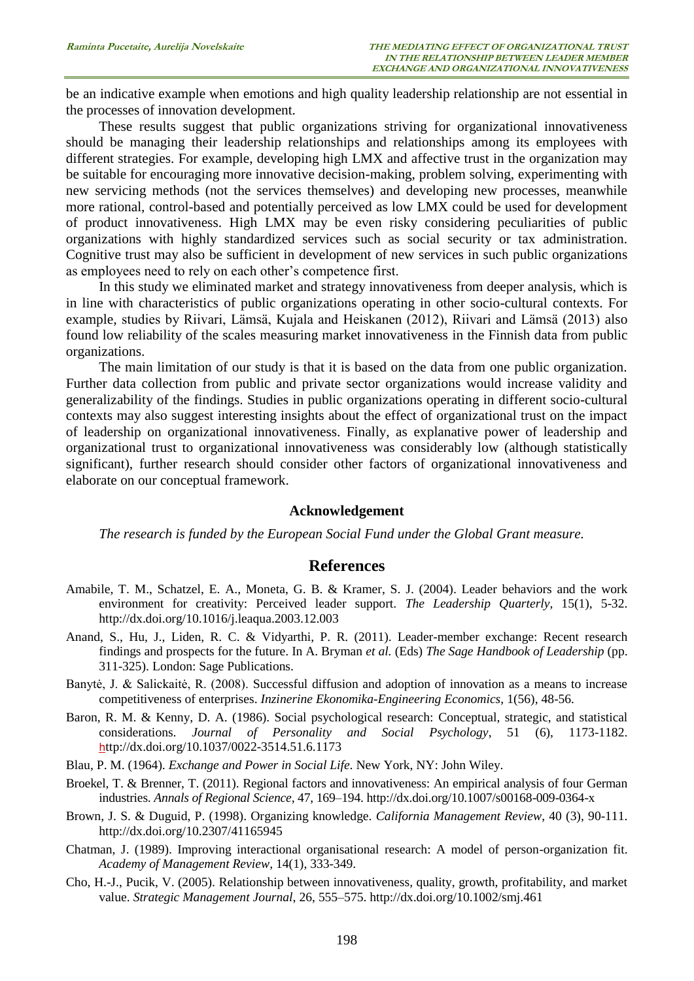be an indicative example when emotions and high quality leadership relationship are not essential in the processes of innovation development.

These results suggest that public organizations striving for organizational innovativeness should be managing their leadership relationships and relationships among its employees with different strategies. For example, developing high LMX and affective trust in the organization may be suitable for encouraging more innovative decision-making, problem solving, experimenting with new servicing methods (not the services themselves) and developing new processes, meanwhile more rational, control-based and potentially perceived as low LMX could be used for development of product innovativeness. High LMX may be even risky considering peculiarities of public organizations with highly standardized services such as social security or tax administration. Cognitive trust may also be sufficient in development of new services in such public organizations as employees need to rely on each other's competence first.

In this study we eliminated market and strategy innovativeness from deeper analysis, which is in line with characteristics of public organizations operating in other socio-cultural contexts. For example, studies by Riivari, Lämsä, Kujala and Heiskanen (2012), Riivari and Lämsä (2013) also found low reliability of the scales measuring market innovativeness in the Finnish data from public organizations.

The main limitation of our study is that it is based on the data from one public organization. Further data collection from public and private sector organizations would increase validity and generalizability of the findings. Studies in public organizations operating in different socio-cultural contexts may also suggest interesting insights about the effect of organizational trust on the impact of leadership on organizational innovativeness. Finally, as explanative power of leadership and organizational trust to organizational innovativeness was considerably low (although statistically significant), further research should consider other factors of organizational innovativeness and elaborate on our conceptual framework.

#### **Acknowledgement**

*The research is funded by the European Social Fund under the Global Grant measure.*

#### **References**

- Amabile, T. M., Schatzel, E. A., Moneta, G. B. & Kramer, S. J. (2004). Leader behaviors and the work environment for creativity: Perceived leader support. *The Leadership Quarterly,* 15(1), 5-32. <http://dx.doi.org/10.1016/j.leaqua.2003.12.003>
- Anand, S., Hu, J., Liden, R. C. & Vidyarthi, P. R. (2011). Leader-member exchange: Recent research findings and prospects for the future. In A. Bryman *et al.* (Eds) *The Sage Handbook of Leadership* (pp. 311-325). London: Sage Publications.
- Banytė, J. & Salickaitė, R. (2008). Successful diffusion and adoption of innovation as a means to increase competitiveness of enterprises. *Inzinerine Ekonomika-Engineering Economics*, 1(56), 48-56.
- Baron, R. M. & Kenny, D. A. (1986). Social psychological research: Conceptual, strategic, and statistical considerations. *Journal of Personality and Social Psychology*, 51 (6), 1173-1182. h[ttp://dx.doi.org/10.1037/0022-3514.51.6.1173](http://dx.doi.org/10.1037/0022-3514.51.6.1173)
- Blau, P. M. (1964). *Exchange and Power in Social Life*. New York, NY: John Wiley.
- Broekel, T. & Brenner, T. (2011). Regional factors and innovativeness: An empirical analysis of four German industries. *Annals of Regional Science*, 47, 169–194. <http://dx.doi.org/10.1007/s00168-009-0364-x>
- Brown, J. S. & Duguid, P. (1998). Organizing knowledge. *California Management Review*, 40 (3), 90-111. <http://dx.doi.org/10.2307/41165945>
- Chatman, J. (1989). Improving interactional organisational research: A model of person-organization fit. *Academy of Management Review,* 14(1), 333-349.
- Cho, H.-J., Pucik, V. (2005). Relationship between innovativeness, quality, growth, profitability, and market value. *Strategic Management Journal*, 26, 555–575. <http://dx.doi.org/10.1002/smj.461>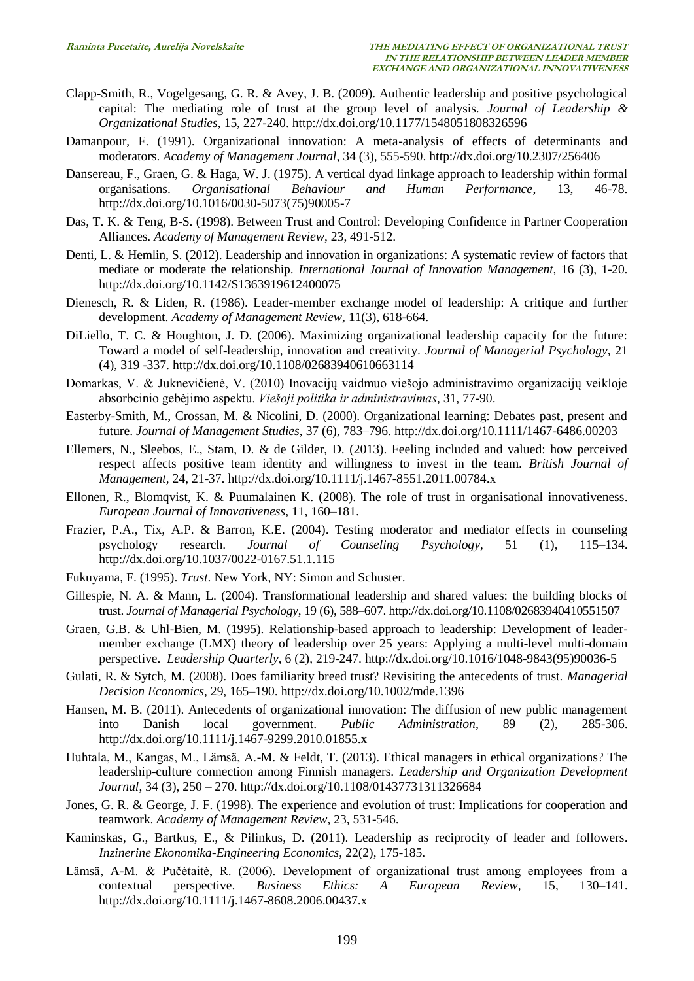- Clapp-Smith, R., Vogelgesang, G. R. & Avey, J. B. (2009). Authentic leadership and positive psychological capital: The mediating role of trust at the group level of analysis. *Journal of Leadership & Organizational Studies*, 15, 227-240. <http://dx.doi.org/10.1177/1548051808326596>
- Damanpour, F. (1991). Organizational innovation: A meta-analysis of effects of determinants and moderators. *Academy of Management Journal*, 34 (3), 555-590. <http://dx.doi.org/10.2307/256406>
- Dansereau, F., Graen, G. & Haga, W. J. (1975). A vertical dyad linkage approach to leadership within formal organisations. *Organisational Behaviour and Human Performance*. 13. 46-78. organisations. *Organisational Behaviour and Human Performance*, 13, 46-78. [http://dx.doi.org/10.1016/0030-5073\(75\)90005-7](http://dx.doi.org/10.1016/0030-5073(75)90005-7)
- Das, T. K. & Teng, B-S. (1998). Between Trust and Control: Developing Confidence in Partner Cooperation Alliances. *Academy of Management Review*, 23, 491-512.
- Denti, L. & Hemlin, S. (2012). Leadership and innovation in organizations: A systematic review of factors that mediate or moderate the relationship. *International Journal of Innovation Management,* 16 (3), 1-20. <http://dx.doi.org/10.1142/S1363919612400075>
- Dienesch, R. & Liden, R. (1986). Leader-member exchange model of leadership: A critique and further development. *Academy of Management Review*, 11(3), 618-664.
- DiLiello, T. C. & Houghton, J. D. (2006). Maximizing organizational leadership capacity for the future: Toward a model of self-leadership, innovation and creativity. *Journal of Managerial Psychology*, 21 (4), 319 -337. <http://dx.doi.org/10.1108/02683940610663114>
- Domarkas, V. & Juknevičienė, V. (2010) Inovacijų vaidmuo viešojo administravimo organizacijų veikloje absorbcinio gebėjimo aspektu. *Viešoji politika ir administravimas*, 31, 77-90.
- Easterby-Smith, M., Crossan, M. & Nicolini, D. (2000). Organizational learning: Debates past, present and future. *Journal of Management Studies*, 37 (6), 783–796. <http://dx.doi.org/10.1111/1467-6486.00203>
- Ellemers, N., Sleebos, E., Stam, D. & de Gilder, D. (2013). Feeling included and valued: how perceived respect affects positive team identity and willingness to invest in the team. *British Journal of Management,* 24, 21-37.<http://dx.doi.org/10.1111/j.1467-8551.2011.00784.x>
- Ellonen, R., Blomqvist, K. & Puumalainen K. (2008). The role of trust in organisational innovativeness. *European Journal of Innovativeness*, 11, 160–181.
- Frazier, P.A., Tix, A.P. & Barron, K.E. (2004). Testing moderator and mediator effects in counseling psychology research. *Journal of Counseling Psychology*, 51 (1), 115–134. <http://dx.doi.org/10.1037/0022-0167.51.1.115>
- Fukuyama, F. (1995). *Trust*. New York, NY: Simon and Schuster.
- Gillespie, N. A. & Mann, L. (2004). Transformational leadership and shared values: the building blocks of trust. *Journal of Managerial Psychology*, 19 (6), 588–607.<http://dx.doi.org/10.1108/02683940410551507>
- Graen, G.B. & Uhl-Bien, M. (1995). Relationship-based approach to leadership: Development of leadermember exchange (LMX) theory of leadership over 25 years: Applying a multi-level multi-domain perspective. *Leadership Quarterly*, 6 (2), 219-247. [http://dx.doi.org/10.1016/1048-9843\(95\)90036-5](http://dx.doi.org/10.1016/1048-9843(95)90036-5)
- Gulati, R. & Sytch, M. (2008). Does familiarity breed trust? Revisiting the antecedents of trust. *Managerial Decision Economics,* 29, 165–190. <http://dx.doi.org/10.1002/mde.1396>
- Hansen, M. B. (2011). Antecedents of organizational innovation: The diffusion of new public management into Danish local government. *Public Administration*, 89 (2), 285-306. <http://dx.doi.org/10.1111/j.1467-9299.2010.01855.x>
- Huhtala, M., Kangas, M., Lämsä, A.-M. & Feldt, T. (2013). Ethical managers in ethical organizations? The leadership-culture connection among Finnish managers. *Leadership and Organization Development Journal*, 34 (3), 250 – 270. <http://dx.doi.org/10.1108/01437731311326684>
- Jones, G. R. & George, J. F. (1998). The experience and evolution of trust: Implications for cooperation and teamwork. *Academy of Management Review*, 23, 531-546.
- Kaminskas, G., Bartkus, E., & Pilinkus, D. (2011). Leadership as reciprocity of leader and followers. *Inzinerine Ekonomika-Engineering Economics*, 22(2), 175-185.
- Lämsä, A-M. & Pučėtaitė, R. (2006). Development of organizational trust among employees from a contextual perspective. *Business Ethics: A European Review,* 15, 130–141. <http://dx.doi.org/10.1111/j.1467-8608.2006.00437.x>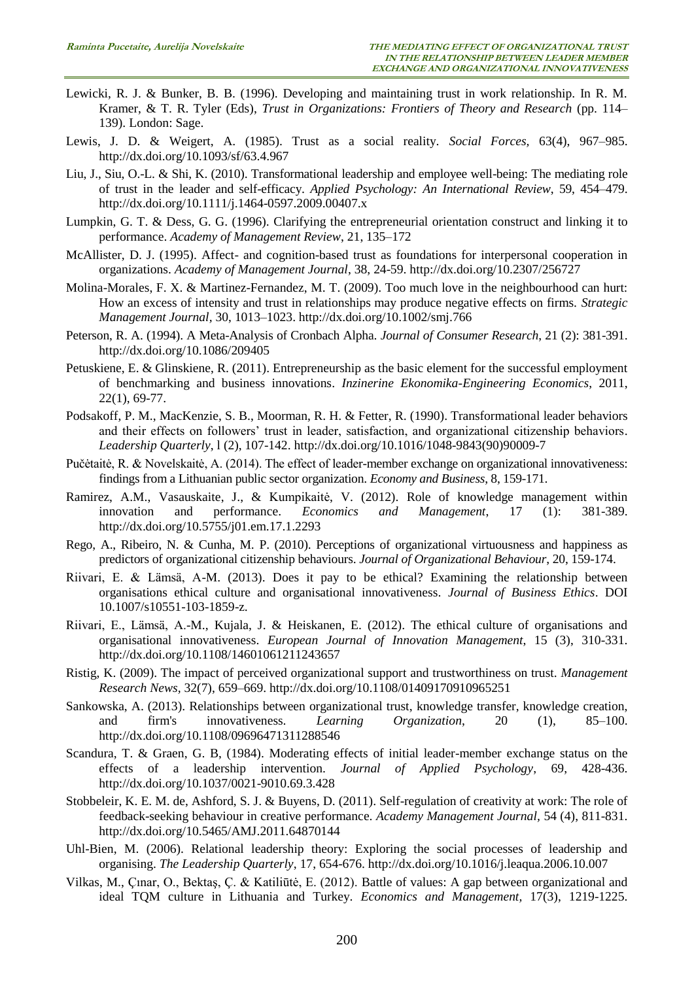- Lewicki, R. J. & Bunker, B. B. (1996). Developing and maintaining trust in work relationship. In R. M. Kramer, & T. R. Tyler (Eds), *Trust in Organizations: Frontiers of Theory and Research* (pp. 114– 139). London: Sage.
- Lewis, J. D. & Weigert, A. (1985). Trust as a social reality. *Social Forces,* 63(4), 967–985. <http://dx.doi.org/10.1093/sf/63.4.967>
- Liu, J., Siu, O.-L. & Shi, K. (2010). Transformational leadership and employee well-being: The mediating role of trust in the leader and self-efficacy. *Applied Psychology: An International Review*, 59, 454–479. <http://dx.doi.org/10.1111/j.1464-0597.2009.00407.x>
- Lumpkin, G. T. & Dess, G. G. (1996). Clarifying the entrepreneurial orientation construct and linking it to performance. *Academy of Management Review*, 21, 135–172
- McAllister, D. J. (1995). Affect- and cognition-based trust as foundations for interpersonal cooperation in organizations. *Academy of Management Journal*, 38, 24-59. <http://dx.doi.org/10.2307/256727>
- Molina-Morales, F. X. & Martinez-Fernandez, M. T. (2009). Too much love in the neighbourhood can hurt: How an excess of intensity and trust in relationships may produce negative effects on firms. *Strategic Management Journal,* 30, 1013–1023. <http://dx.doi.org/10.1002/smj.766>
- Peterson, R. A. (1994). A Meta-Analysis of Cronbach Alpha. *Journal of Consumer Research*, 21 (2): 381-391. <http://dx.doi.org/10.1086/209405>
- Petuskiene, E. & Glinskiene, R. (2011). Entrepreneurship as the basic element for the successful employment of benchmarking and business innovations. *Inzinerine Ekonomika-Engineering Economics*, 2011, 22(1), 69-77.
- Podsakoff, P. M., MacKenzie, S. B., Moorman, R. H. & Fetter, R. (1990). Transformational leader behaviors and their effects on followers' trust in leader, satisfaction, and organizational citizenship behaviors. *Leadership Quarterly*, l (2), 107-142. [http://dx.doi.org/10.1016/1048-9843\(90\)90009-7](http://dx.doi.org/10.1016/1048-9843(90)90009-7)
- Pučėtaitė, R. & Novelskaitė, A. (2014). The effect of leader-member exchange on organizational innovativeness: findings from a Lithuanian public sector organization. *Economy and Business*, 8, 159-171.
- Ramirez, A.M., Vasauskaite, J., & Kumpikaitė, V. (2012). Role of knowledge management within innovation and performance. *Economics and Management*, 17 (1): 381-389. <http://dx.doi.org/10.5755/j01.em.17.1.2293>
- Rego, A., Ribeiro, N. & Cunha, M. P. (2010). Perceptions of organizational virtuousness and happiness as predictors of organizational citizenship behaviours. *Journal of Organizational Behaviour*, 20, 159-174.
- Riivari, E. & Lämsä, A-M. (2013). Does it pay to be ethical? Examining the relationship between organisations ethical culture and organisational innovativeness. *Journal of Business Ethics*. DOI 10.1007/s10551-103-1859-z.
- Riivari, E., Lämsä, A.-M., Kujala, J. & Heiskanen, E. (2012). The ethical culture of organisations and organisational innovativeness. *European Journal of Innovation Management*, 15 (3), 310-331. <http://dx.doi.org/10.1108/14601061211243657>
- Ristig, K. (2009). The impact of perceived organizational support and trustworthiness on trust. *Management Research News,* 32(7), 659–669. <http://dx.doi.org/10.1108/01409170910965251>
- Sankowska, A. (2013). Relationships between organizational trust, knowledge transfer, knowledge creation, and firm's innovativeness. *Learning Organization*, 20 (1), 85–100. <http://dx.doi.org/10.1108/09696471311288546>
- Scandura, T. & Graen, G. B, (1984). Moderating effects of initial leader-member exchange status on the effects of a leadership intervention. *Journal of Applied Psychology*, 69, 428-436. <http://dx.doi.org/10.1037/0021-9010.69.3.428>
- Stobbeleir, K. E. M. de, Ashford, S. J. & Buyens, D. (2011). Self-regulation of creativity at work: The role of feedback-seeking behaviour in creative performance. *Academy Management Journal,* 54 (4), 811-831. <http://dx.doi.org/10.5465/AMJ.2011.64870144>
- Uhl-Bien, M. (2006). Relational leadership theory: Exploring the social processes of leadership and organising. *The Leadership Quarterly*, 17, 654-676. <http://dx.doi.org/10.1016/j.leaqua.2006.10.007>
- Vilkas, M., Çınar, O., Bektaş, Ç. & Katiliūtė, E. (2012). Battle of values: A gap between organizational and ideal TQM culture in Lithuania and Turkey. *Economics and Management,* 17(3), 1219-1225.